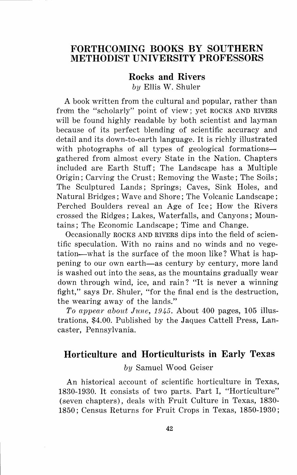## **FORTHCOMING BOOKS BY SOUTHERN METHODIST UNIVERSITY PROFESSORS**

## **Rocks and Rivers**  *by* Ellis **W.** Shuler

**A** book written from the cultural and popular, rather than from the "scholarly" point of view; yet ROCKS AND RIVERS will be found highly readable by both scientist and layman because of its perfect blending of scientific accuracy and detail and its down-to-earth language. It is richly illustrated with photographs of all types of geological formationsgathered from almost every State in the Nation. Chapters included are Earth Stuff; The Landscape has a Multiple Origin ; Carving the Crust; Removing the Waste ; The Soils; The Sculptured Lands; Springs; Caves, Sink Holes, and Natural Bridges; Wave and Shore; The Volcanic Landscape; Perched Boulders reveal an Age of Ice; How the Rivers crossed the Ridges; Lakes, Waterfalls, and Canyons; Mountains; The Economic Landscape; Time and Change.

Occasionally ROCKS AND RIVERS dips into the field of scientific speculation. With no rains and no winds and no vegetation-what is the surface of the moon like? What is happening to our own earth-as century by century, more land is washed out into the seas, as the mountains gradually wear down through wind, ice, and rain? "It is never a winning fight," says Dr. Shuler, "for the final end is the destruction, the wearing away of the lands."

*To appear about June, 1945.* About 400 pages, 105 illustrations, \$4.00. Published by the Jaques Cattell Press, Lancaster, Pennsylvania.

## **Horticulture and Horticulturists in Early Texas**

## *by* Samuel Wood Geiser

An historical account of scientific horticulture in Texas, 1830-1930. It consists of two parts. Part I, "Horticulture" (seven chapters), deals with Fruit Culture in Texas, 1830- 1850; Census Returns for Fruit Crops in Texas, 1850-1930;